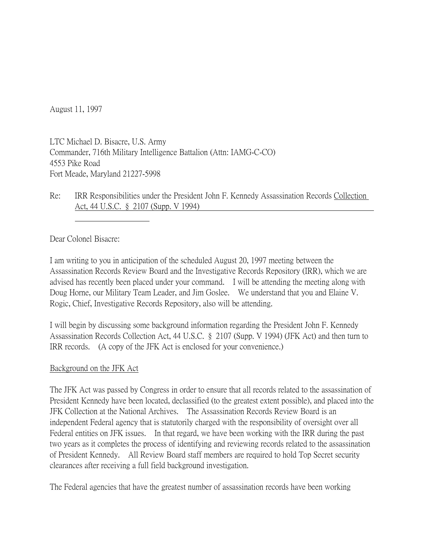August 11, 1997

LTC Michael D. Bisacre, U.S. Army Commander, 716th Military Intelligence Battalion (Attn: IAMG-C-CO) 4553 Pike Road Fort Meade, Maryland 21227-5998

Re: IRR Responsibilities under the President John F. Kennedy Assassination Records Collection Act, 44 U.S.C. § 2107 (Supp. V 1994)

Dear Colonel Bisacre:

I am writing to you in anticipation of the scheduled August 20, 1997 meeting between the Assassination Records Review Board and the Investigative Records Repository (IRR), which we are advised has recently been placed under your command. I will be attending the meeting along with Doug Horne, our Military Team Leader, and Jim Goslee. We understand that you and Elaine V. Rogic, Chief, Investigative Records Repository, also will be attending.

I will begin by discussing some background information regarding the President John F. Kennedy Assassination Records Collection Act, 44 U.S.C. § 2107 (Supp. V 1994) (JFK Act) and then turn to IRR records. (A copy of the JFK Act is enclosed for your convenience.)

## Background on the JFK Act

The JFK Act was passed by Congress in order to ensure that all records related to the assassination of President Kennedy have been located, declassified (to the greatest extent possible), and placed into the JFK Collection at the National Archives. The Assassination Records Review Board is an independent Federal agency that is statutorily charged with the responsibility of oversight over all Federal entities on JFK issues. In that regard, we have been working with the IRR during the past two years as it completes the process of identifying and reviewing records related to the assassination of President Kennedy. All Review Board staff members are required to hold Top Secret security clearances after receiving a full field background investigation.

The Federal agencies that have the greatest number of assassination records have been working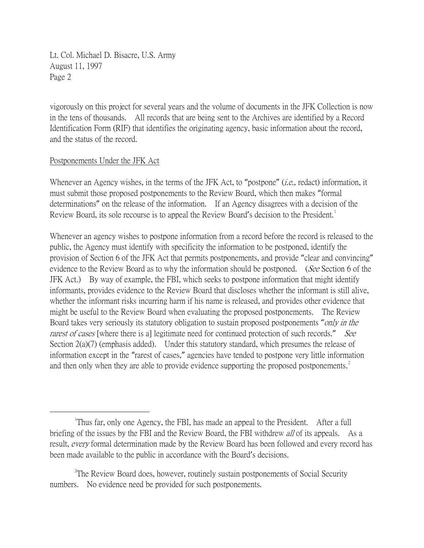Lt. Col. Michael D. Bisacre, U.S. Army August 11, 1997 Page 2

vigorously on this project for several years and the volume of documents in the JFK Collection is now in the tens of thousands. All records that are being sent to the Archives are identified by a Record Identification Form (RIF) that identifies the originating agency, basic information about the record, and the status of the record.

## Postponements Under the JFK Act

Whenever an Agency wishes, in the terms of the JFK Act, to "postpone" (*i.e.*, redact) information, it must submit those proposed postponements to the Review Board, which then makes "formal determinations" on the release of the information. If an Agency disagrees with a decision of the Review Board, its sole recourse is to appeal the Review Board's decision to the President.<sup>[1](#page-1-0)</sup>

Whenever an agency wishes to postpone information from a record before the record is released to the public, the Agency must identify with specificity the information to be postponed, identify the provision of Section 6 of the JFK Act that permits postponements, and provide "clear and convincing" evidence to the Review Board as to why the information should be postponed. (See Section 6 of the JFK Act.) By way of example, the FBI, which seeks to postpone information that might identify informants, provides evidence to the Review Board that discloses whether the informant is still alive, whether the informant risks incurring harm if his name is released, and provides other evidence that might be useful to the Review Board when evaluating the proposed postponements. The Review Board takes very seriously its statutory obligation to sustain proposed postponements "*only in the* rarest of cases [where there is a] legitimate need for continued protection of such records." See Section  $2(a)(7)$  (emphasis added). Under this statutory standard, which presumes the release of information except in the "rarest of cases," agencies have tended to postpone very little information and then only when they are able to provide evidence supporting the proposed postponements.<sup>[2](#page-1-1)</sup>

<span id="page-1-0"></span> $\overline{\phantom{a}}$ <sup>1</sup>Thus far, only one Agency, the FBI, has made an appeal to the President. After a full briefing of the issues by the FBI and the Review Board, the FBI withdrew *all* of its appeals. As a result, *every* formal determination made by the Review Board has been followed and every record has been made available to the public in accordance with the Board's decisions.

<span id="page-1-1"></span><sup>&</sup>lt;sup>2</sup>The Review Board does, however, routinely sustain postponements of Social Security numbers. No evidence need be provided for such postponements.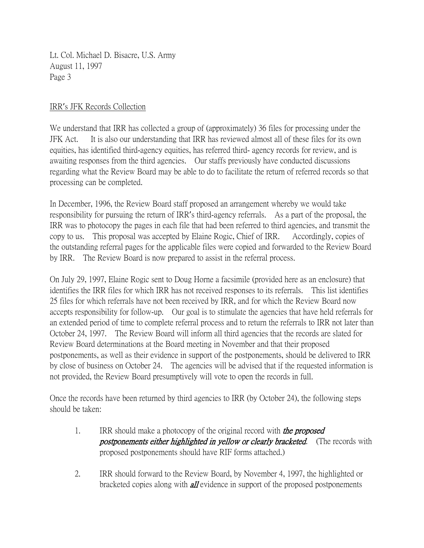Lt. Col. Michael D. Bisacre, U.S. Army August 11, 1997 Page 3

## IRR's JFK Records Collection

We understand that IRR has collected a group of (approximately) 36 files for processing under the JFK Act. It is also our understanding that IRR has reviewed almost all of these files for its own equities, has identified third-agency equities, has referred third- agency records for review, and is awaiting responses from the third agencies. Our staffs previously have conducted discussions regarding what the Review Board may be able to do to facilitate the return of referred records so that processing can be completed.

In December, 1996, the Review Board staff proposed an arrangement whereby we would take responsibility for pursuing the return of IRR's third-agency referrals. As a part of the proposal, the IRR was to photocopy the pages in each file that had been referred to third agencies, and transmit the copy to us. This proposal was accepted by Elaine Rogic, Chief of IRR. Accordingly, copies of the outstanding referral pages for the applicable files were copied and forwarded to the Review Board by IRR. The Review Board is now prepared to assist in the referral process.

On July 29, 1997, Elaine Rogic sent to Doug Horne a facsimile (provided here as an enclosure) that identifies the IRR files for which IRR has not received responses to its referrals. This list identifies 25 files for which referrals have not been received by IRR, and for which the Review Board now accepts responsibility for follow-up. Our goal is to stimulate the agencies that have held referrals for an extended period of time to complete referral process and to return the referrals to IRR not later than October 24, 1997. The Review Board will inform all third agencies that the records are slated for Review Board determinations at the Board meeting in November and that their proposed postponements, as well as their evidence in support of the postponements, should be delivered to IRR by close of business on October 24. The agencies will be advised that if the requested information is not provided, the Review Board presumptively will vote to open the records in full.

Once the records have been returned by third agencies to IRR (by October 24), the following steps should be taken:

- 1. IRR should make a photocopy of the original record with *the proposed* **postponements either highlighted in yellow or clearly bracketed.** (The records with proposed postponements should have RIF forms attached.)
- 2. IRR should forward to the Review Board, by November 4, 1997, the highlighted or bracketed copies along with **all** evidence in support of the proposed postponements